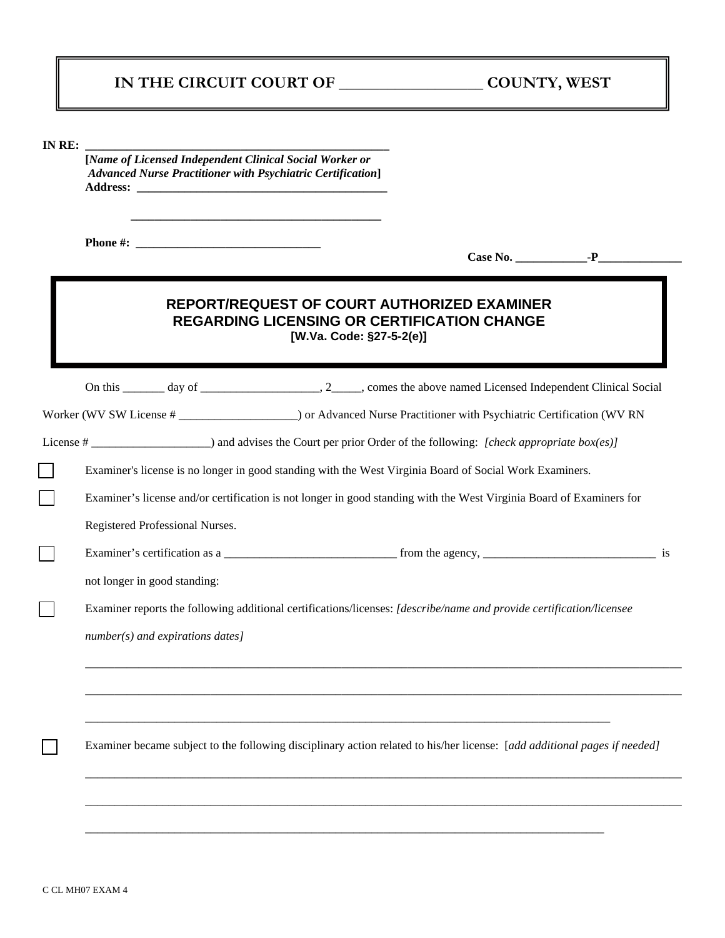| IN RE: | [Name of Licensed Independent Clinical Social Worker or<br><b>Advanced Nurse Practitioner with Psychiatric Certification]</b> |  |  |
|--------|-------------------------------------------------------------------------------------------------------------------------------|--|--|
|        |                                                                                                                               |  |  |
|        | REPORT/REQUEST OF COURT AUTHORIZED EXAMINER<br><b>REGARDING LICENSING OR CERTIFICATION CHANGE</b><br>[W.Va. Code: §27-5-2(e)] |  |  |
|        |                                                                                                                               |  |  |
|        | Worker (WV SW License # ____________________) or Advanced Nurse Practitioner with Psychiatric Certification (WV RN            |  |  |
|        |                                                                                                                               |  |  |
|        | Examiner's license is no longer in good standing with the West Virginia Board of Social Work Examiners.                       |  |  |
|        | Examiner's license and/or certification is not longer in good standing with the West Virginia Board of Examiners for          |  |  |
|        | Registered Professional Nurses.                                                                                               |  |  |
|        | Examiner's certification as a <u>______________________________</u> from the agency, ___________________________________ is   |  |  |
|        | not longer in good standing:                                                                                                  |  |  |
|        | Examiner reports the following additional certifications/licenses: [describe/name and provide certification/licensee          |  |  |
|        | $number(s)$ and expirations dates]                                                                                            |  |  |
|        |                                                                                                                               |  |  |
|        |                                                                                                                               |  |  |
|        | Examiner became subject to the following disciplinary action related to his/her license: [add additional pages if needed]     |  |  |
|        |                                                                                                                               |  |  |

\_\_\_\_\_\_\_\_\_\_\_\_\_\_\_\_\_\_\_\_\_\_\_\_\_\_\_\_\_\_\_\_\_\_\_\_\_\_\_\_\_\_\_\_\_\_\_\_\_\_\_\_\_\_\_\_\_\_\_\_\_\_\_\_\_\_\_\_\_\_\_\_\_\_\_\_\_\_\_\_\_\_\_\_\_\_\_